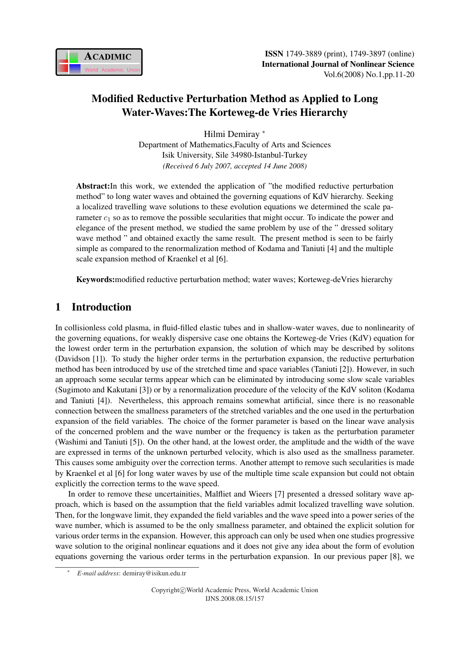

# Modified Reductive Perturbation Method as Applied to Long Water-Waves:The Korteweg-de Vries Hierarchy

Hilmi Demiray <sup>∗</sup> Department of Mathematics,Faculty of Arts and Sciences Isik University, Sile 34980-Istanbul-Turkey *(Received 6 July 2007, accepted 14 June 2008)*

Abstract:In this work, we extended the application of "the modified reductive perturbation method" to long water waves and obtained the governing equations of KdV hierarchy. Seeking a localized travelling wave solutions to these evolution equations we determined the scale parameter  $c_1$  so as to remove the possible secularities that might occur. To indicate the power and elegance of the present method, we studied the same problem by use of the " dressed solitary wave method " and obtained exactly the same result. The present method is seen to be fairly simple as compared to the renormalization method of Kodama and Taniuti [4] and the multiple scale expansion method of Kraenkel et al [6].

Keywords:modified reductive perturbation method; water waves; Korteweg-deVries hierarchy

## 1 Introduction

In collisionless cold plasma, in fluid-filled elastic tubes and in shallow-water waves, due to nonlinearity of the governing equations, for weakly dispersive case one obtains the Korteweg-de Vries (KdV) equation for the lowest order term in the perturbation expansion, the solution of which may be described by solitons (Davidson [1]). To study the higher order terms in the perturbation expansion, the reductive perturbation method has been introduced by use of the stretched time and space variables (Taniuti [2]). However, in such an approach some secular terms appear which can be eliminated by introducing some slow scale variables (Sugimoto and Kakutani [3]) or by a renormalization procedure of the velocity of the KdV soliton (Kodama and Taniuti [4]). Nevertheless, this approach remains somewhat artificial, since there is no reasonable connection between the smallness parameters of the stretched variables and the one used in the perturbation expansion of the field variables. The choice of the former parameter is based on the linear wave analysis of the concerned problem and the wave number or the frequency is taken as the perturbation parameter (Washimi and Taniuti [5]). On the other hand, at the lowest order, the amplitude and the width of the wave are expressed in terms of the unknown perturbed velocity, which is also used as the smallness parameter. This causes some ambiguity over the correction terms. Another attempt to remove such secularities is made by Kraenkel et al [6] for long water waves by use of the multiple time scale expansion but could not obtain explicitly the correction terms to the wave speed.

In order to remove these uncertainities, Malfliet and Wieers [7] presented a dressed solitary wave approach, which is based on the assumption that the field variables admit localized travelling wave solution. Then, for the longwave limit, they expanded the field variables and the wave speed into a power series of the wave number, which is assumed to be the only smallness parameter, and obtained the explicit solution for various order terms in the expansion. However, this approach can only be used when one studies progressive wave solution to the original nonlinear equations and it does not give any idea about the form of evolution equations governing the various order terms in the perturbation expansion. In our previous paper [8], we

<sup>∗</sup> *E-mail address*: demiray@isikun.edu.tr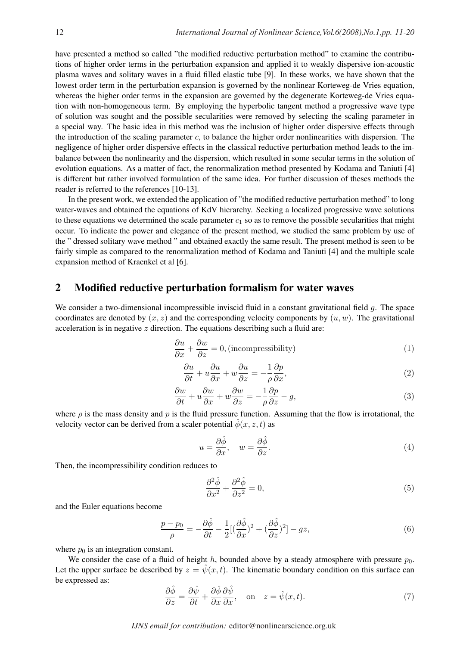have presented a method so called "the modified reductive perturbation method" to examine the contributions of higher order terms in the perturbation expansion and applied it to weakly dispersive ion-acoustic plasma waves and solitary waves in a fluid filled elastic tube [9]. In these works, we have shown that the lowest order term in the perturbation expansion is governed by the nonlinear Korteweg-de Vries equation, whereas the higher order terms in the expansion are governed by the degenerate Korteweg-de Vries equation with non-homogeneous term. By employing the hyperbolic tangent method a progressive wave type of solution was sought and the possible secularities were removed by selecting the scaling parameter in a special way. The basic idea in this method was the inclusion of higher order dispersive effects through the introduction of the scaling parameter  $c$ , to balance the higher order nonlinearities with dispersion. The negligence of higher order dispersive effects in the classical reductive perturbation method leads to the imbalance between the nonlinearity and the dispersion, which resulted in some secular terms in the solution of evolution equations. As a matter of fact, the renormalization method presented by Kodama and Taniuti [4] is different but rather involved formulation of the same idea. For further discussion of theses methods the reader is referred to the references [10-13].

In the present work, we extended the application of "the modified reductive perturbation method" to long water-waves and obtained the equations of KdV hierarchy. Seeking a localized progressive wave solutions to these equations we determined the scale parameter  $c_1$  so as to remove the possible secularities that might occur. To indicate the power and elegance of the present method, we studied the same problem by use of the " dressed solitary wave method " and obtained exactly the same result. The present method is seen to be fairly simple as compared to the renormalization method of Kodama and Taniuti [4] and the multiple scale expansion method of Kraenkel et al [6].

### 2 Modified reductive perturbation formalism for water waves

We consider a two-dimensional incompressible inviscid fluid in a constant gravitational field  $q$ . The space coordinates are denoted by  $(x, z)$  and the corresponding velocity components by  $(u, w)$ . The gravitational acceleration is in negative  $z$  direction. The equations describing such a fluid are:

$$
\frac{\partial u}{\partial x} + \frac{\partial w}{\partial z} = 0, \text{(incompressibility)}\tag{1}
$$

$$
\frac{\partial u}{\partial t} + u \frac{\partial u}{\partial x} + w \frac{\partial u}{\partial z} = -\frac{1}{\rho} \frac{\partial p}{\partial x},\tag{2}
$$

$$
\frac{\partial w}{\partial t} + u \frac{\partial w}{\partial x} + w \frac{\partial w}{\partial z} = -\frac{1}{\rho} \frac{\partial p}{\partial z} - g,\tag{3}
$$

where  $\rho$  is the mass density and p is the fluid pressure function. Assuming that the flow is irrotational, the velocity vector can be derived from a scaler potential  $\hat{\phi}(x, z, t)$  as

$$
u = \frac{\partial \hat{\phi}}{\partial x}, \quad w = \frac{\partial \hat{\phi}}{\partial z}.
$$
 (4)

Then, the incompressibility condition reduces to

$$
\frac{\partial^2 \hat{\phi}}{\partial x^2} + \frac{\partial^2 \hat{\phi}}{\partial z^2} = 0,\tag{5}
$$

and the Euler equations become

$$
\frac{p - p_0}{\rho} = -\frac{\partial \hat{\phi}}{\partial t} - \frac{1}{2} [(\frac{\partial \hat{\phi}}{\partial x})^2 + (\frac{\partial \hat{\phi}}{\partial z})^2] - gz,\tag{6}
$$

where  $p_0$  is an integration constant.

We consider the case of a fluid of height h, bounded above by a steady atmosphere with pressure  $p_0$ . Let the upper surface be described by  $z = \hat{\psi}(x, t)$ . The kinematic boundary condition on this surface can be expressed as:

$$
\frac{\partial \hat{\phi}}{\partial z} = \frac{\partial \hat{\psi}}{\partial t} + \frac{\partial \hat{\phi}}{\partial x} \frac{\partial \hat{\psi}}{\partial x}, \quad \text{on} \quad z = \hat{\psi}(x, t). \tag{7}
$$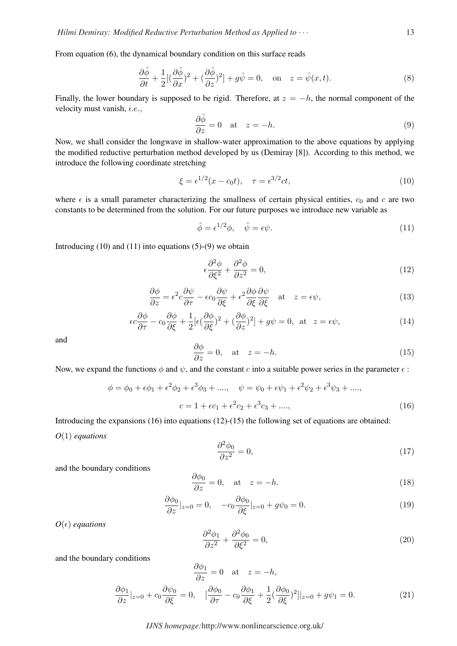From equation (6), the dynamical boundary condition on this surface reads

$$
\frac{\partial \hat{\phi}}{\partial t} + \frac{1}{2} [(\frac{\partial \hat{\phi}}{\partial x})^2 + (\frac{\partial \hat{\phi}}{\partial z})^2] + g\hat{\psi} = 0, \text{ on } z = \hat{\psi}(x, t). \tag{8}
$$

Finally, the lower boundary is supposed to be rigid. Therefore, at  $z = -h$ , the normal component of the velocity must vanish, i.e.,

$$
\frac{\partial \hat{\phi}}{\partial z} = 0 \quad \text{at} \quad z = -h. \tag{9}
$$

Now, we shall consider the longwave in shallow-water approximation to the above equations by applying the modified reductive perturbation method developed by us (Demiray [8]). According to this method, we introduce the following coordinate stretching

$$
\xi = \epsilon^{1/2}(x - c_0 t), \quad \tau = \epsilon^{3/2} ct,\tag{10}
$$

where  $\epsilon$  is a small parameter characterizing the smallness of certain physical entities,  $c_0$  and c are two constants to be determined from the solution. For our future purposes we introduce new variable as

$$
\hat{\phi} = \epsilon^{1/2} \phi, \quad \hat{\psi} = \epsilon \psi.
$$
\n(11)

Introducing  $(10)$  and  $(11)$  into equations  $(5)-(9)$  we obtain

$$
\epsilon \frac{\partial^2 \phi}{\partial \xi^2} + \frac{\partial^2 \phi}{\partial z^2} = 0,\tag{12}
$$

$$
\frac{\partial \phi}{\partial z} = \epsilon^2 c \frac{\partial \psi}{\partial \tau} - \epsilon c_0 \frac{\partial \psi}{\partial \xi} + \epsilon^2 \frac{\partial \phi}{\partial \xi} \frac{\partial \psi}{\partial \xi} \quad \text{at} \quad z = \epsilon \psi,
$$
\n(13)

$$
\epsilon c \frac{\partial \phi}{\partial \tau} - c_0 \frac{\partial \phi}{\partial \xi} + \frac{1}{2} [\epsilon (\frac{\partial \phi}{\partial \xi})^2 + (\frac{\partial \phi}{\partial z})^2] + g\psi = 0, \text{ at } z = \epsilon \psi,
$$
 (14)

and

$$
\frac{\partial \phi}{\partial z} = 0, \quad \text{at} \quad z = -h. \tag{15}
$$

Now, we expand the functions  $\phi$  and  $\psi$ , and the constant c into a suitable power series in the parameter  $\epsilon$ :

$$
\phi = \phi_0 + \epsilon \phi_1 + \epsilon^2 \phi_2 + \epsilon^3 \phi_3 + \dots, \quad \psi = \psi_0 + \epsilon \psi_1 + \epsilon^2 \psi_2 + \epsilon^3 \psi_3 + \dots,
$$
  

$$
c = 1 + \epsilon c_1 + \epsilon^2 c_2 + \epsilon^3 c_3 + \dots,
$$
 (16)

Introducing the expansions (16) into equations (12)-(15) the following set of equations are obtained: *O*(1) *equations*

$$
\frac{\partial^2 \phi_0}{\partial z^2} = 0,\tag{17}
$$

and the boundary conditions

$$
\frac{\partial \phi_0}{\partial z} = 0, \quad \text{at} \quad z = -h. \tag{18}
$$

$$
\frac{\partial \phi_0}{\partial z}|_{z=0} = 0, \quad -c_0 \frac{\partial \phi_0}{\partial \xi}|_{z=0} + g\psi_0 = 0. \tag{19}
$$

 $O(\epsilon)$  *equations* 

$$
\frac{\partial^2 \phi_1}{\partial z^2} + \frac{\partial^2 \phi_0}{\partial \xi^2} = 0,\tag{20}
$$

and the boundary conditions

$$
\frac{\partial \phi_1}{\partial z} = 0 \quad \text{at} \quad z = -h,
$$
  

$$
\frac{\partial \phi_1}{\partial z}|_{z=0} + c_0 \frac{\partial \psi_0}{\partial \xi} = 0, \quad [\frac{\partial \phi_0}{\partial \tau} - c_0 \frac{\partial \phi_1}{\partial \xi} + \frac{1}{2} (\frac{\partial \phi_0}{\partial \xi})^2]|_{z=0} + g\psi_1 = 0.
$$
 (21)

#### *IJNS homepage:*http://www.nonlinearscience.org.uk/

 $\sim$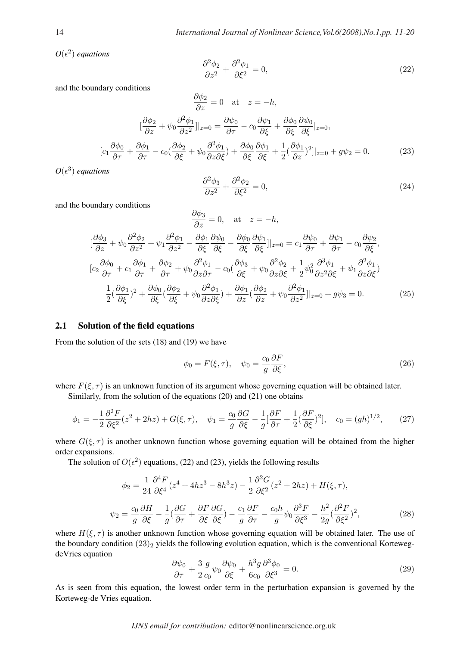$O(\epsilon^2)$  *equations* 

$$
\frac{\partial^2 \phi_2}{\partial z^2} + \frac{\partial^2 \phi_1}{\partial \xi^2} = 0,\tag{22}
$$

and the boundary conditions

$$
\frac{\partial \phi_2}{\partial z} = 0 \quad \text{at} \quad z = -h,
$$

$$
[\frac{\partial \phi_2}{\partial z} + \psi_0 \frac{\partial^2 \phi_1}{\partial z^2}]|_{z=0} = \frac{\partial \psi_0}{\partial \tau} - c_0 \frac{\partial \psi_1}{\partial \xi} + \frac{\partial \phi_0}{\partial \xi} \frac{\partial \psi_0}{\partial \xi}|_{z=0},
$$

$$
c_1 \frac{\partial \phi_0}{\partial \tau} + \frac{\partial \phi_1}{\partial \tau} - c_0 (\frac{\partial \phi_2}{\partial \xi} + \psi_0 \frac{\partial^2 \phi_1}{\partial z \partial \xi}) + \frac{\partial \phi_0}{\partial \xi} \frac{\partial \phi_1}{\partial \xi} + \frac{1}{2} (\frac{\partial \phi_1}{\partial z})^2]|_{z=0} + g\psi_2 = 0.
$$
(23)

∂φ<sup>2</sup>

 $O(\epsilon^3)$  *equations* 

$$
\frac{\partial^2 \phi_3}{\partial z^2} + \frac{\partial^2 \phi_2}{\partial \xi^2} = 0,\tag{24}
$$

and the boundary conditions

 $\lceil$ 

$$
\frac{\partial \phi_3}{\partial z} = 0, \quad \text{at} \quad z = -h,
$$
\n
$$
[\frac{\partial \phi_3}{\partial z} + \psi_0 \frac{\partial^2 \phi_2}{\partial z^2} + \psi_1 \frac{\partial^2 \phi_1}{\partial z^2} - \frac{\partial \phi_1}{\partial \xi} \frac{\partial \psi_0}{\partial \xi} - \frac{\partial \phi_0}{\partial \xi} \frac{\partial \psi_1}{\partial \xi}]|_{z=0} = c_1 \frac{\partial \psi_0}{\partial \tau} + \frac{\partial \psi_1}{\partial \tau} - c_0 \frac{\partial \psi_2}{\partial \xi},
$$
\n
$$
[c_2 \frac{\partial \phi_0}{\partial \tau} + c_1 \frac{\partial \phi_1}{\partial \tau} + \frac{\partial \phi_2}{\partial \tau} + \psi_0 \frac{\partial^2 \phi_1}{\partial z \partial \tau} - c_0 \left(\frac{\partial \phi_3}{\partial \xi} + \psi_0 \frac{\partial^2 \phi_2}{\partial z \partial \xi} + \frac{1}{2} \psi_0^2 \frac{\partial^3 \phi_1}{\partial z^2 \partial \xi} + \psi_1 \frac{\partial^2 \phi_1}{\partial z \partial \xi} \right)
$$
\n
$$
= \frac{1}{2} (\frac{\partial \phi_1}{\partial \xi})^2 + \frac{\partial \phi_0}{\partial \xi} (\frac{\partial \phi_2}{\partial \xi} + \psi_0 \frac{\partial^2 \phi_1}{\partial z \partial \xi}) + \frac{\partial \phi_1}{\partial z} (\frac{\partial \phi_2}{\partial z} + \psi_0 \frac{\partial^2 \phi_1}{\partial z^2})|_{z=0} + g\psi_3 = 0.
$$
\n(25)

#### 2.1 Solution of the field equations

From the solution of the sets (18) and (19) we have

$$
\phi_0 = F(\xi, \tau), \quad \psi_0 = \frac{c_0}{g} \frac{\partial F}{\partial \xi}, \tag{26}
$$

where  $F(\xi, \tau)$  is an unknown function of its argument whose governing equation will be obtained later.

Similarly, from the solution of the equations (20) and (21) one obtains

$$
\phi_1 = -\frac{1}{2}\frac{\partial^2 F}{\partial \xi^2}(z^2 + 2hz) + G(\xi, \tau), \quad \psi_1 = \frac{c_0}{g}\frac{\partial G}{\partial \xi} - \frac{1}{g}[\frac{\partial F}{\partial \tau} + \frac{1}{2}(\frac{\partial F}{\partial \xi})^2], \quad c_0 = (gh)^{1/2},\tag{27}
$$

where  $G(\xi, \tau)$  is another unknown function whose governing equation will be obtained from the higher order expansions.

The solution of  $O(\epsilon^2)$  equations, (22) and (23), yields the following results

$$
\phi_2 = \frac{1}{24} \frac{\partial^4 F}{\partial \xi^4} (z^4 + 4hz^3 - 8h^3 z) - \frac{1}{2} \frac{\partial^2 G}{\partial \xi^2} (z^2 + 2hz) + H(\xi, \tau),
$$
  

$$
\psi_2 = \frac{c_0}{g} \frac{\partial H}{\partial \xi} - \frac{1}{g} (\frac{\partial G}{\partial \tau} + \frac{\partial F}{\partial \xi} \frac{\partial G}{\partial \xi}) - \frac{c_1}{g} \frac{\partial F}{\partial \tau} - \frac{c_0 h}{g} \psi_0 \frac{\partial^3 F}{\partial \xi^3} - \frac{h^2}{2g} (\frac{\partial^2 F}{\partial \xi^2})^2,
$$
 (28)

where  $H(\xi, \tau)$  is another unknown function whose governing equation will be obtained later. The use of the boundary condition  $(23)_2$  yields the following evolution equation, which is the conventional KortewegdeVries equation

$$
\frac{\partial \psi_0}{\partial \tau} + \frac{3}{2} \frac{g}{c_0} \psi_0 \frac{\partial \psi_0}{\partial \xi} + \frac{h^3 g}{6c_0} \frac{\partial^3 \phi_0}{\partial \xi^3} = 0. \tag{29}
$$

As is seen from this equation, the lowest order term in the perturbation expansion is governed by the Korteweg-de Vries equation.

*IJNS email for contribution:* editor@nonlinearscience.org.uk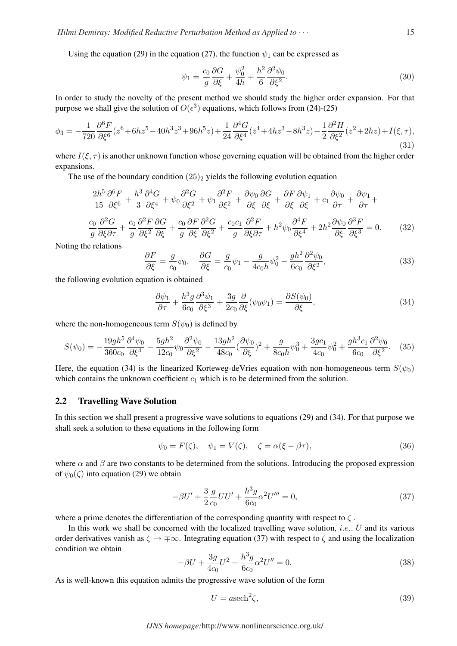Using the equation (29) in the equation (27), the function  $\psi_1$  can be expressed as

$$
\psi_1 = \frac{c_0}{g} \frac{\partial G}{\partial \xi} + \frac{\psi_0^2}{4h} + \frac{h^2}{6} \frac{\partial^2 \psi_0}{\partial \xi^2}.
$$
\n(30)

In order to study the novelty of the present method we should study the higher order expansion. For that purpose we shall give the solution of  $O(\epsilon^3)$  equations, which follows from (24)-(25)

$$
\phi_3 = -\frac{1}{720} \frac{\partial^6 F}{\partial \xi^6} (z^6 + 6hz^5 - 40h^3z^3 + 96h^5z) + \frac{1}{24} \frac{\partial^4 G}{\partial \xi^4} (z^4 + 4hz^3 - 8h^3z) - \frac{1}{2} \frac{\partial^2 H}{\partial \xi^2} (z^2 + 2hz) + I(\xi, \tau),\tag{31}
$$

where  $I(\xi, \tau)$  is another unknown function whose governing equation will be obtained from the higher order expansions.

The use of the boundary condition  $(25)_2$  yields the following evolution equation

$$
\frac{2h^5}{15} \frac{\partial^6 F}{\partial \xi^6} + \frac{h^3}{3} \frac{\partial^4 G}{\partial \xi^4} + \psi_0 \frac{\partial^2 G}{\partial \xi^2} + \psi_1 \frac{\partial^2 F}{\partial \xi^2} + \frac{\partial \psi_0}{\partial \xi} \frac{\partial G}{\partial \xi} + \frac{\partial F}{\partial \xi} \frac{\partial \psi_1}{\partial \xi} + c_1 \frac{\partial \psi_0}{\partial \tau} + \frac{\partial \psi_1}{\partial \tau} + \frac{\partial \psi_1}{\partial \tau} + \frac{c_0}{3} \frac{\partial^2 G}{\partial \xi^2} + \frac{c_0}{9} \frac{\partial^2 F}{\partial \xi^2} \frac{\partial^2 G}{\partial \xi^2} + \frac{c_0}{9} \frac{\partial^2 F}{\partial \xi^2} \frac{\partial^2 G}{\partial \xi^2} + \frac{c_0}{9} \frac{\partial^2 F}{\partial \xi \partial \tau} + h^2 \psi_0 \frac{\partial^4 F}{\partial \xi^4} + 2h^2 \frac{\partial \psi_0}{\partial \xi} \frac{\partial^3 F}{\partial \xi^3} = 0. \tag{32}
$$

Noting the relations

$$
\frac{\partial F}{\partial \xi} = \frac{g}{c_0} \psi_0, \quad \frac{\partial G}{\partial \xi} = \frac{g}{c_0} \psi_1 - \frac{g}{4c_0 h} \psi_0^2 - \frac{gh^2}{6c_0} \frac{\partial^2 \psi_0}{\partial \xi^2},\tag{33}
$$

the following evolution equation is obtained

$$
\frac{\partial \psi_1}{\partial \tau} + \frac{h^3 g}{6c_0} \frac{\partial^3 \psi_1}{\partial \xi^3} + \frac{3g}{2c_0} \frac{\partial}{\partial \xi} (\psi_0 \psi_1) = \frac{\partial S(\psi_0)}{\partial \xi},\tag{34}
$$

where the non-homogeneous term  $S(\psi_0)$  is defined by

$$
S(\psi_0) = -\frac{19gh^5}{360c_0} \frac{\partial^4 \psi_0}{\partial \xi^4} - \frac{5gh^2}{12c_0} \psi_0 \frac{\partial^2 \psi_0}{\partial \xi^2} - \frac{13gh^2}{48c_0} (\frac{\partial \psi_0}{\partial \xi})^2 + \frac{g}{8c_0h} \psi_0^3 + \frac{3gc_1}{4c_0} \psi_0^2 + \frac{gh^3c_1}{6c_0} \frac{\partial^2 \psi_0}{\partial \xi^2}.
$$
 (35)

Here, the equation (34) is the linearized Korteweg-deVries equation with non-homogeneous term  $S(\psi_0)$ which contains the unknown coefficient  $c_1$  which is to be determined from the solution.

### 2.2 Travelling Wave Solution

In this section we shall present a progressive wave solutions to equations (29) and (34). For that purpose we shall seek a solution to these equations in the following form

$$
\psi_0 = F(\zeta), \quad \psi_1 = V(\zeta), \quad \zeta = \alpha(\xi - \beta \tau), \tag{36}
$$

where  $\alpha$  and  $\beta$  are two constants to be determined from the solutions. Introducing the proposed expression of  $\psi_0(\zeta)$  into equation (29) we obtain

$$
-\beta U' + \frac{3}{2} \frac{g}{c_0} U U' + \frac{h^3 g}{6c_0} \alpha^2 U''' = 0,
$$
\n(37)

where a prime denotes the differentiation of the corresponding quantity with respect to  $\zeta$ .

In this work we shall be concerned with the localized travelling wave solution, *i.e.*,  $U$  and its various order derivatives vanish as  $\zeta \to \pm \infty$ . Integrating equation (37) with respect to  $\zeta$  and using the localization condition we obtain

$$
-\beta U + \frac{3g}{4c_0}U^2 + \frac{h^3 g}{6c_0}\alpha^2 U'' = 0.
$$
\n(38)

As is well-known this equation admits the progressive wave solution of the form

$$
U = a \text{sech}^2 \zeta,\tag{39}
$$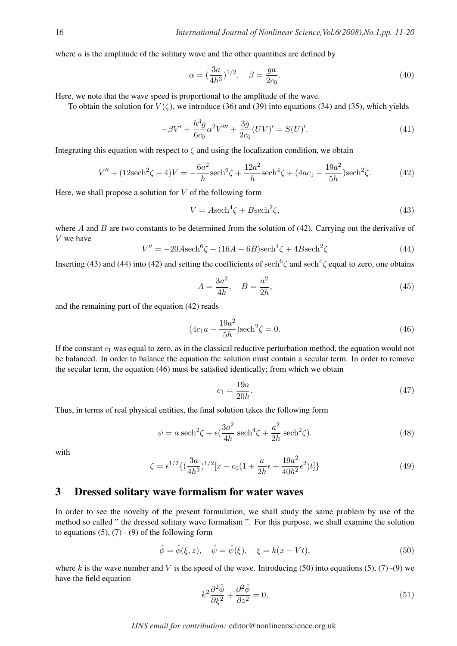where  $a$  is the amplitude of the solitary wave and the other quantities are defined by

$$
\alpha = \left(\frac{3a}{4h^3}\right)^{1/2}, \quad \beta = \frac{ga}{2c_0}.\tag{40}
$$

Here, we note that the wave speed is proportional to the amplitude of the wave.

To obtain the solution for  $V(\zeta)$ , we introduce (36) and (39) into equations (34) and (35), which yields

$$
-\beta V' + \frac{h^3 g}{6c_0} \alpha^2 V''' + \frac{3g}{2c_0} (UV)' = S(U)'.
$$
\n(41)

Integrating this equation with respect to  $\zeta$  and using the localization condition, we obtain

$$
V'' + (12\text{sech}^2\zeta - 4)V = -\frac{6a^2}{h}\text{sech}^6\zeta + \frac{12a^2}{h}\text{sech}^4\zeta + (4ac_1 - \frac{19a^2}{5h})\text{sech}^2\zeta.
$$
 (42)

Here, we shall propose a solution for  $V$  of the following form

$$
V = A \text{sech}^4 \zeta + B \text{sech}^2 \zeta,\tag{43}
$$

where A and B are two constants to be determined from the solution of  $(42)$ . Carrying out the derivative of V we have

$$
V'' = -20A \operatorname{sech}^6 \zeta + (16A - 6B) \operatorname{sech}^4 \zeta + 4B \operatorname{sech}^2 \zeta \tag{44}
$$

Inserting (43) and (44) into (42) and setting the coefficients of sech<sup>6</sup> $\zeta$  and sech<sup>4</sup> $\zeta$  equal to zero, one obtains

$$
A = \frac{3a^2}{4h}, \quad B = \frac{a^2}{2h}, \tag{45}
$$

and the remaining part of the equation (42) reads

$$
(4c_1a - \frac{19a^2}{5h})\text{sech}^2\zeta = 0.
$$
 (46)

If the constant  $c_1$  was equal to zero, as in the classical reductive perturbation method, the equation would not be balanced. In order to balance the equation the solution must contain a secular term. In order to remove the secular term, the equation (46) must be satisfied identically; from which we obtain

$$
c_1 = \frac{19a}{20h}.\t(47)
$$

Thus, in terms of real physical entities, the final solution takes the following form

$$
\psi = a \operatorname{sech}^2 \zeta + \epsilon \left( \frac{3a^2}{4h} \operatorname{sech}^4 \zeta + \frac{a^2}{2h} \operatorname{sech}^2 \zeta \right). \tag{48}
$$

with

$$
\zeta = \epsilon^{1/2} \{ (\frac{3a}{4h^3})^{1/2} [x - c_0 (1 + \frac{a}{2h} \epsilon + \frac{19a^2}{40h^2} \epsilon^2) t] \}
$$
\n(49)

### 3 Dressed solitary wave formalism for water waves

In order to see the novelty of the present formulation, we shall study the same problem by use of the method so called " the dressed solitary wave formalism ". For this purpose, we shall examine the solution to equations  $(5)$ ,  $(7)$  -  $(9)$  of the following form

$$
\hat{\phi} = \hat{\phi}(\xi, z), \quad \hat{\psi} = \hat{\psi}(\xi), \quad \xi = k(x - Vt), \tag{50}
$$

where k is the wave number and V is the speed of the wave. Introducing (50) into equations (5), (7) -(9) we have the field equation

$$
k^2 \frac{\partial^2 \hat{\phi}}{\partial \xi^2} + \frac{\partial^2 \hat{\phi}}{\partial z^2} = 0,\tag{51}
$$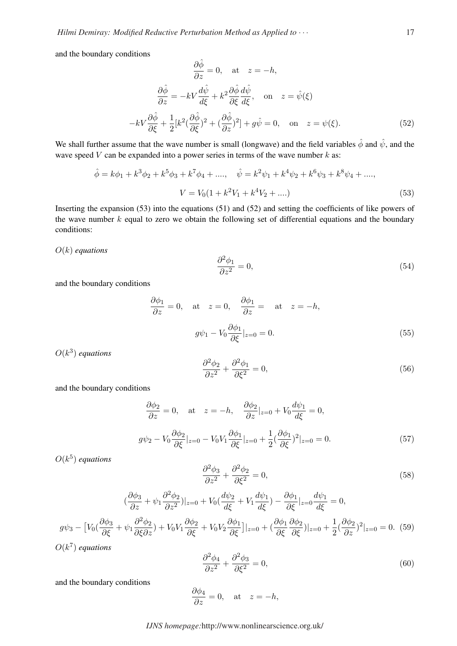and the boundary conditions

$$
\frac{\partial \hat{\phi}}{\partial z} = 0, \quad \text{at} \quad z = -h,
$$

$$
\frac{\partial \hat{\phi}}{\partial z} = -kV \frac{d\hat{\psi}}{d\xi} + k^2 \frac{\partial \hat{\phi}}{\partial \xi} \frac{d\hat{\psi}}{d\xi}, \quad \text{on} \quad z = \hat{\psi}(\xi)
$$

$$
-kV \frac{\partial \hat{\phi}}{\partial \xi} + \frac{1}{2} [k^2 (\frac{\partial \hat{\phi}}{\partial \xi})^2 + (\frac{\partial \hat{\phi}}{\partial z})^2] + g\hat{\psi} = 0, \quad \text{on} \quad z = \psi(\xi).
$$
(52)

We shall further assume that the wave number is small (longwave) and the field variables  $\hat{\phi}$  and  $\hat{\psi}$ , and the wave speed  $V$  can be expanded into a power series in terms of the wave number  $k$  as:

$$
\hat{\phi} = k\phi_1 + k^3\phi_2 + k^5\phi_3 + k^7\phi_4 + \dots, \quad \hat{\psi} = k^2\psi_1 + k^4\psi_2 + k^6\psi_3 + k^8\psi_4 + \dots,
$$
  

$$
V = V_0(1 + k^2V_1 + k^4V_2 + \dots)
$$
 (53)

Inserting the expansion (53) into the equations (51) and (52) and setting the coefficients of like powers of the wave number  $k$  equal to zero we obtain the following set of differential equations and the boundary conditions:

#### O(k) *equations*

$$
\frac{\partial^2 \phi_1}{\partial z^2} = 0,\t\t(54)
$$

and the boundary conditions

$$
\frac{\partial \phi_1}{\partial z} = 0, \quad \text{at} \quad z = 0, \quad \frac{\partial \phi_1}{\partial z} = \quad \text{at} \quad z = -h,
$$

$$
g\psi_1 - V_0 \frac{\partial \phi_1}{\partial \xi}|_{z=0} = 0.
$$
(55)

 $O(k^3)$  *equations* 

$$
\frac{\partial^2 \phi_2}{\partial z^2} + \frac{\partial^2 \phi_1}{\partial \xi^2} = 0,\tag{56}
$$

and the boundary conditions

$$
\frac{\partial \phi_2}{\partial z} = 0, \quad \text{at} \quad z = -h, \quad \frac{\partial \phi_2}{\partial z} \Big|_{z=0} + V_0 \frac{d\psi_1}{d\xi} = 0,
$$
\n
$$
g\psi_2 - V_0 \frac{\partial \phi_2}{\partial \xi} \Big|_{z=0} - V_0 V_1 \frac{\partial \phi_1}{\partial \xi} \Big|_{z=0} + \frac{1}{2} \left(\frac{\partial \phi_1}{\partial \xi}\right)^2 \Big|_{z=0} = 0.
$$
\n
$$
(57)
$$

 $O(k^5)$  *equations* 

$$
\frac{\partial^2 \phi_3}{\partial z^2} + \frac{\partial^2 \phi_2}{\partial \xi^2} = 0,\tag{58}
$$

$$
(\frac{\partial \phi_3}{\partial z} + \psi_1 \frac{\partial^2 \phi_2}{\partial z^2})|_{z=0} + V_0(\frac{d\psi_2}{d\xi} + V_1 \frac{d\psi_1}{d\xi}) - \frac{\partial \phi_1}{\partial \xi}|_{z=0} \frac{d\psi_1}{d\xi} = 0,
$$
  

$$
\frac{\partial^2 \phi_2}{\partial z^2} = 0, \frac{\partial \phi_2}{\partial z^2} = 0, \frac{\partial \phi_1}{\partial z^2} = 0, \frac{\partial \phi_1}{\partial z^2} = 0,
$$

$$
g\psi_3 - \left[ V_0 \left( \frac{\partial \phi_3}{\partial \xi} + \psi_1 \frac{\partial^2 \phi_2}{\partial \xi \partial z} \right) + V_0 V_1 \frac{\partial \phi_2}{\partial \xi} + V_0 V_2 \frac{\partial \phi_1}{\partial \xi} \right] \Big|_{z=0} + \left( \frac{\partial \phi_1}{\partial \xi} \frac{\partial \phi_2}{\partial \xi} \right) \Big|_{z=0} + \frac{1}{2} \left( \frac{\partial \phi_2}{\partial z} \right)^2 \Big|_{z=0} = 0. \tag{59}
$$

 $O(k^7)$  *equations* 

$$
\frac{\partial^2 \phi_4}{\partial z^2} + \frac{\partial^2 \phi_3}{\partial \xi^2} = 0,\tag{60}
$$

and the boundary conditions

$$
\frac{\partial \phi_4}{\partial z} = 0, \quad \text{at} \quad z = -h,
$$

### *IJNS homepage:*http://www.nonlinearscience.org.uk/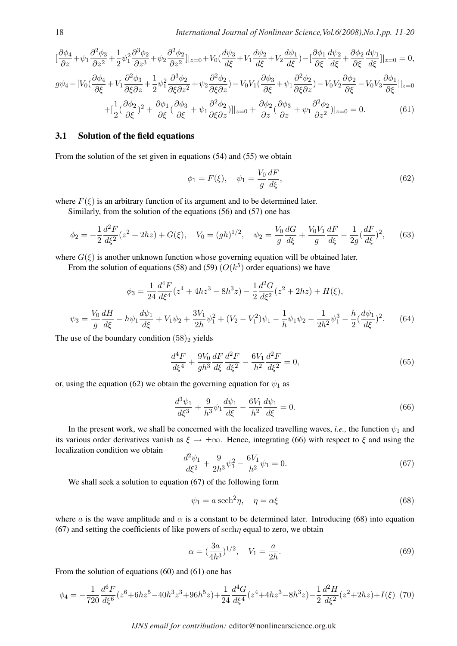$$
\left[\frac{\partial\phi_4}{\partial z} + \psi_1 \frac{\partial^2\phi_3}{\partial z^2} + \frac{1}{2}\psi_1^2 \frac{\partial^3\phi_2}{\partial z^3} + \psi_2 \frac{\partial^2\phi_2}{\partial z^2}\right]\Big|_{z=0} + V_0\left(\frac{d\psi_3}{d\xi} + V_1 \frac{d\psi_2}{d\xi} + V_2 \frac{d\psi_1}{d\xi}\right) - \left[\frac{\partial\phi_1}{\partial\xi} \frac{d\psi_2}{d\xi} + \frac{\partial\phi_2}{\partial\xi} \frac{d\psi_1}{d\xi}\right]\Big|_{z=0} = 0,
$$
\n
$$
g\psi_4 - \left[V_0\left(\frac{\partial\phi_4}{\partial\xi} + V_1 \frac{\partial^2\phi_3}{\partial\xi\partial z} + \frac{1}{2}\psi_1^2 \frac{\partial^3\phi_2}{\partial\xi\partial z^2} + \psi_2 \frac{\partial^2\phi_2}{\partial\xi\partial z}\right) - V_0V_1\left(\frac{\partial\phi_3}{\partial\xi} + \psi_1 \frac{\partial^2\phi_2}{\partial\xi\partial z}\right) - V_0V_2 \frac{\partial\phi_2}{\partial\xi} - V_0V_3 \frac{\partial\phi_1}{\partial\xi}\Big|_{z=0}
$$
\n
$$
+ \left[\frac{1}{2}\left(\frac{\partial\phi_2}{\partial\xi}\right)^2 + \frac{\partial\phi_1}{\partial\xi}\left(\frac{\partial\phi_3}{\partial\xi} + \psi_1 \frac{\partial^2\phi_2}{\partial\xi\partial z}\right)\right]\Big|_{z=0} + \frac{\partial\phi_2}{\partial z}\left(\frac{\partial\phi_3}{\partial z} + \psi_1 \frac{\partial^2\phi_2}{\partial z^2}\right)\Big|_{z=0} = 0.
$$
\n(61)

#### 3.1 Solution of the field equations

From the solution of the set given in equations (54) and (55) we obtain

$$
\phi_1 = F(\xi), \quad \psi_1 = \frac{V_0}{g} \frac{dF}{d\xi},
$$
\n(62)

where  $F(\xi)$  is an arbitrary function of its argument and to be determined later.

Similarly, from the solution of the equations (56) and (57) one has

$$
\phi_2 = -\frac{1}{2}\frac{d^2F}{d\xi^2}(z^2 + 2hz) + G(\xi), \quad V_0 = (gh)^{1/2}, \quad \psi_2 = \frac{V_0}{g}\frac{dG}{d\xi} + \frac{V_0V_1}{g}\frac{dF}{d\xi} - \frac{1}{2g}(\frac{dF}{d\xi})^2,\tag{63}
$$

where  $G(\xi)$  is another unknown function whose governing equation will be obtained later.

From the solution of equations (58) and (59)  $(O(k^5))$  order equations) we have

$$
\phi_3 = \frac{1}{24} \frac{d^4 F}{d\xi^4} (z^4 + 4hz^3 - 8h^3 z) - \frac{1}{2} \frac{d^2 G}{d\xi^2} (z^2 + 2hz) + H(\xi),
$$
  

$$
\psi_3 = \frac{V_0}{g} \frac{dH}{d\xi} - h\psi_1 \frac{d\psi_1}{d\xi} + V_1\psi_2 + \frac{3V_1}{2h}\psi_1^2 + (V_2 - V_1^2)\psi_1 - \frac{1}{h}\psi_1\psi_2 - \frac{1}{2h^2}\psi_1^3 - \frac{h}{2}(\frac{d\psi_1}{d\xi})^2.
$$
 (64)

The use of the boundary condition  $(58)_2$  yields

$$
\frac{d^4F}{d\xi^4} + \frac{9V_0}{gh^3}\frac{dF}{d\xi}\frac{d^2F}{d\xi^2} - \frac{6V_1}{h^2}\frac{d^2F}{d\xi^2} = 0,\tag{65}
$$

or, using the equation (62) we obtain the governing equation for  $\psi_1$  as

$$
\frac{d^3\psi_1}{d\xi^3} + \frac{9}{h^3}\psi_1\frac{d\psi_1}{d\xi} - \frac{6V_1}{h^2}\frac{d\psi_1}{d\xi} = 0.
$$
\n(66)

In the present work, we shall be concerned with the localized travelling waves, *i.e.*, the function  $\psi_1$  and its various order derivatives vanish as  $\xi \to \pm \infty$ . Hence, integrating (66) with respect to  $\xi$  and using the localization condition we obtain

$$
\frac{d^2\psi_1}{d\xi^2} + \frac{9}{2h^3}\psi_1^2 - \frac{6V_1}{h^2}\psi_1 = 0.
$$
\n(67)

We shall seek a solution to equation (67) of the following form

$$
\psi_1 = a \operatorname{sech}^2 \eta, \quad \eta = \alpha \xi \tag{68}
$$

where a is the wave amplitude and  $\alpha$  is a constant to be determined later. Introducing (68) into equation  $(67)$  and setting the coefficients of like powers of sech $\eta$  equal to zero, we obtain

$$
\alpha = \left(\frac{3a}{4h^3}\right)^{1/2}, \quad V_1 = \frac{a}{2h}.\tag{69}
$$

From the solution of equations (60) and (61) one has

$$
\phi_4 = -\frac{1}{720} \frac{d^6 F}{d\xi^6} (z^6 + 6hz^5 - 40h^3 z^3 + 96h^5 z) + \frac{1}{24} \frac{d^4 G}{d\xi^4} (z^4 + 4hz^3 - 8h^3 z) - \frac{1}{2} \frac{d^2 H}{d\xi^2} (z^2 + 2hz) + I(\xi)
$$
(70)

*IJNS email for contribution:* editor@nonlinearscience.org.uk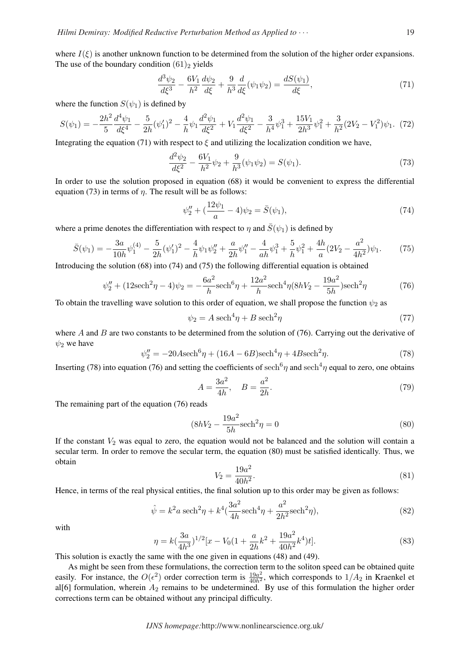where  $I(\xi)$  is another unknown function to be determined from the solution of the higher order expansions. The use of the boundary condition  $(61)_2$  yields

$$
\frac{d^3\psi_2}{d\xi^3} - \frac{6V_1}{h^2}\frac{d\psi_2}{d\xi} + \frac{9}{h^3}\frac{d}{d\xi}(\psi_1\psi_2) = \frac{dS(\psi_1)}{d\xi},\tag{71}
$$

where the function  $S(\psi_1)$  is defined by

$$
S(\psi_1) = -\frac{2h^2}{5} \frac{d^4 \psi_1}{d\xi^4} - \frac{5}{2h} (\psi_1')^2 - \frac{4}{h} \psi_1 \frac{d^2 \psi_1}{d\xi^2} + V_1 \frac{d^2 \psi_1}{d\xi^2} - \frac{3}{h^4} \psi_1^3 + \frac{15V_1}{2h^3} \psi_1^2 + \frac{3}{h^2} (2V_2 - V_1^2) \psi_1. \tag{72}
$$

Integrating the equation (71) with respect to  $\xi$  and utilizing the localization condition we have,

$$
\frac{d^2\psi_2}{d\xi^2} - \frac{6V_1}{h^2}\psi_2 + \frac{9}{h^3}(\psi_1\psi_2) = S(\psi_1). \tag{73}
$$

In order to use the solution proposed in equation (68) it would be convenient to express the differential equation (73) in terms of  $\eta$ . The result will be as follows:

$$
\psi_2'' + (\frac{12\psi_1}{a} - 4)\psi_2 = \bar{S}(\psi_1),\tag{74}
$$

where a prime denotes the differentiation with respect to  $\eta$  and  $\bar{S}(\psi_1)$  is defined by

$$
\bar{S}(\psi_1) = -\frac{3a}{10h}\psi_1^{(4)} - \frac{5}{2h}(\psi_1')^2 - \frac{4}{h}\psi_1\psi_2'' + \frac{a}{2h}\psi_1'' - \frac{4}{ah}\psi_1^3 + \frac{5}{h}\psi_1^2 + \frac{4h}{a}(2V_2 - \frac{a^2}{4h^2})\psi_1.
$$
(75)

Introducing the solution (68) into (74) and (75) the following differential equation is obtained

$$
\psi_2'' + (12\text{sech}^2 \eta - 4)\psi_2 = -\frac{6a^2}{h}\text{sech}^6 \eta + \frac{12a^2}{h}\text{sech}^4 \eta (8hV_2 - \frac{19a^2}{5h})\text{sech}^2 \eta \tag{76}
$$

To obtain the travelling wave solution to this order of equation, we shall propose the function  $\psi_2$  as

$$
\psi_2 = A \operatorname{sech}^4 \eta + B \operatorname{sech}^2 \eta \tag{77}
$$

where A and B are two constants to be determined from the solution of  $(76)$ . Carrying out the derivative of  $\psi_2$  we have

$$
\psi_2'' = -20A \text{sech}^6 \eta + (16A - 6B) \text{sech}^4 \eta + 4B \text{sech}^2 \eta. \tag{78}
$$

Inserting (78) into equation (76) and setting the coefficients of sech<sup>6</sup> $\eta$  and sech<sup>4</sup> $\eta$  equal to zero, one obtains

$$
A = \frac{3a^2}{4h}, \quad B = \frac{a^2}{2h}.
$$
\n(79)

The remaining part of the equation (76) reads

$$
(8hV_2 - \frac{19a^2}{5h}\text{sech}^2 \eta = 0 \tag{80}
$$

If the constant  $V_2$  was equal to zero, the equation would not be balanced and the solution will contain a secular term. In order to remove the secular term, the equation (80) must be satisfied identically. Thus, we obtain

$$
V_2 = \frac{19a^2}{40h^2}.\tag{81}
$$

Hence, in terms of the real physical entities, the final solution up to this order may be given as follows:

$$
\hat{\psi} = k^2 a \operatorname{sech}^2 \eta + k^4 \left( \frac{3a^2}{4h} \operatorname{sech}^4 \eta + \frac{a^2}{2h^2} \operatorname{sech}^2 \eta \right),\tag{82}
$$

with

$$
\eta = k(\frac{3a}{4h^3})^{1/2} [x - V_0(1 + \frac{a}{2h}k^2 + \frac{19a^2}{40h^2}k^4)t].
$$
\n(83)

This solution is exactly the same with the one given in equations (48) and (49).

As might be seen from these formulations, the correction term to the soliton speed can be obtained quite easily. For instance, the  $O(\epsilon^2)$  order correction term is  $\frac{19a^2}{40h^2}$ , which corresponds to  $1/A_2$  in Kraenkel et al[6] formulation, wherein  $A_2$  remains to be undetermined. By use of this formulation the higher order corrections term can be obtained without any principal difficulty.

*IJNS homepage:*http://www.nonlinearscience.org.uk/